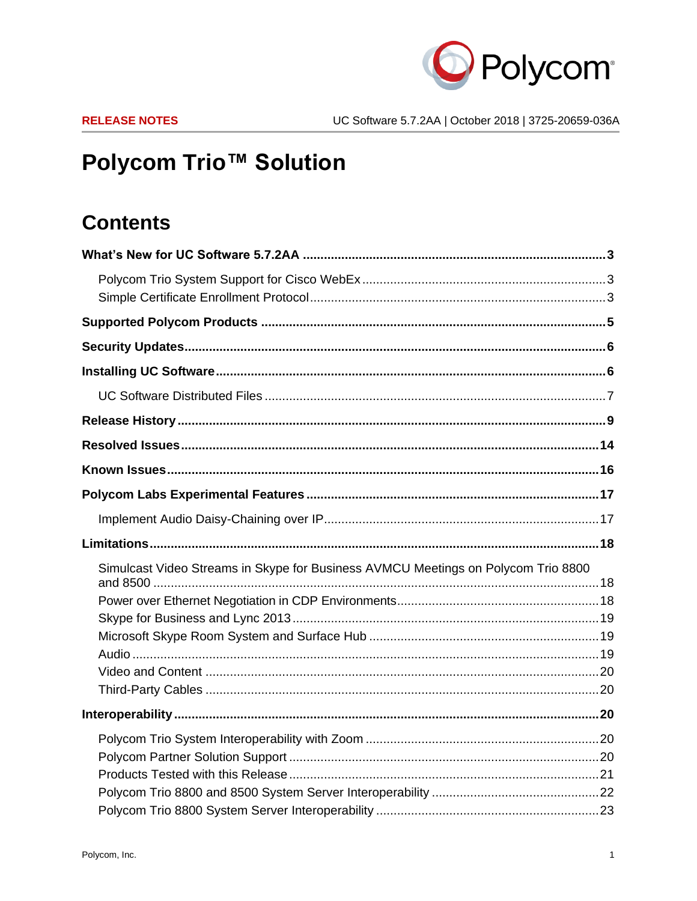

# **Polycom Trio™ Solution**

## **Contents**

| Simulcast Video Streams in Skype for Business AVMCU Meetings on Polycom Trio 8800 |  |
|-----------------------------------------------------------------------------------|--|
|                                                                                   |  |
|                                                                                   |  |
|                                                                                   |  |
|                                                                                   |  |
|                                                                                   |  |
|                                                                                   |  |
|                                                                                   |  |
|                                                                                   |  |
|                                                                                   |  |
|                                                                                   |  |
|                                                                                   |  |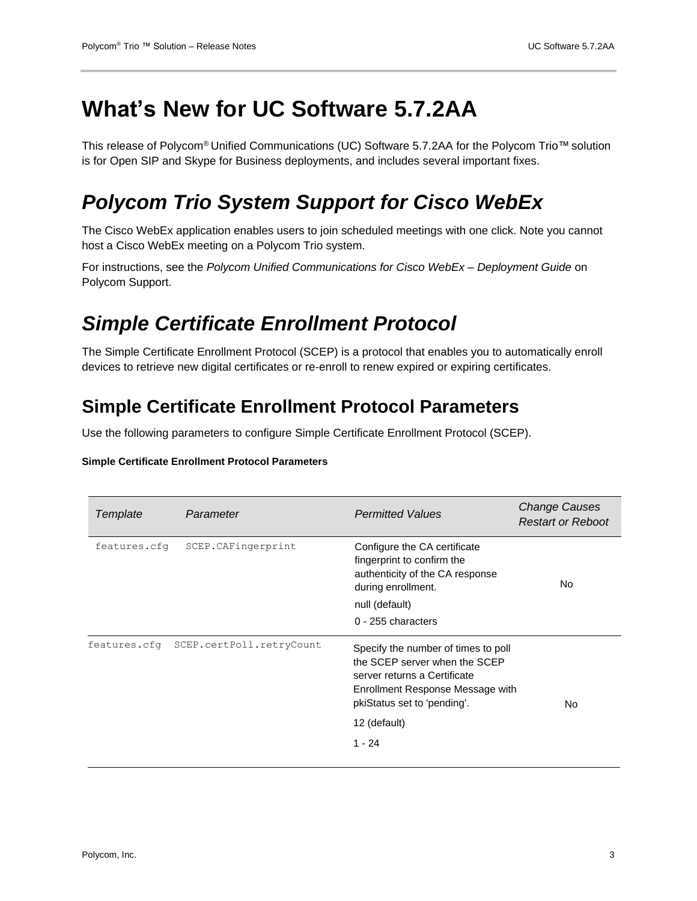## <span id="page-2-0"></span>**What's New for UC Software 5.7.2AA**

This release of Polycom® Unified Communications (UC) Software 5.7.2AA for the Polycom Trio™ solution is for Open SIP and Skype for Business deployments, and includes several important fixes.

## <span id="page-2-1"></span>*Polycom Trio System Support for Cisco WebEx*

The Cisco WebEx application enables users to join scheduled meetings with one click. Note you cannot host a Cisco WebEx meeting on a Polycom Trio system.

For instructions, see the *Polycom Unified Communications for Cisco WebEx – Deployment Guide* on Polycom Support.

## <span id="page-2-2"></span>*Simple Certificate Enrollment Protocol*

The Simple Certificate Enrollment Protocol (SCEP) is a protocol that enables you to automatically enroll devices to retrieve new digital certificates or re-enroll to renew expired or expiring certificates.

### **Simple Certificate Enrollment Protocol Parameters**

Use the following parameters to configure Simple Certificate Enrollment Protocol (SCEP).

| Template<br>Parameter                 |                    | <b>Permitted Values</b>                                                                                                                                                 | <b>Change Causes</b><br><b>Restart or Reboot</b> |
|---------------------------------------|--------------------|-------------------------------------------------------------------------------------------------------------------------------------------------------------------------|--------------------------------------------------|
| features.cfg                          | SCEP.CAFingerprint | Configure the CA certificate<br>fingerprint to confirm the<br>authenticity of the CA response<br>during enrollment.<br>null (default)<br>0 - 255 characters             | No.                                              |
| features.cfq SCEP.certPoll.retryCount |                    | Specify the number of times to poll<br>the SCEP server when the SCEP<br>server returns a Certificate<br>Enrollment Response Message with<br>pkiStatus set to 'pending'. | No.                                              |
|                                       |                    | 12 (default)                                                                                                                                                            |                                                  |
|                                       |                    | $1 - 24$                                                                                                                                                                |                                                  |

#### **Simple Certificate Enrollment Protocol Parameters**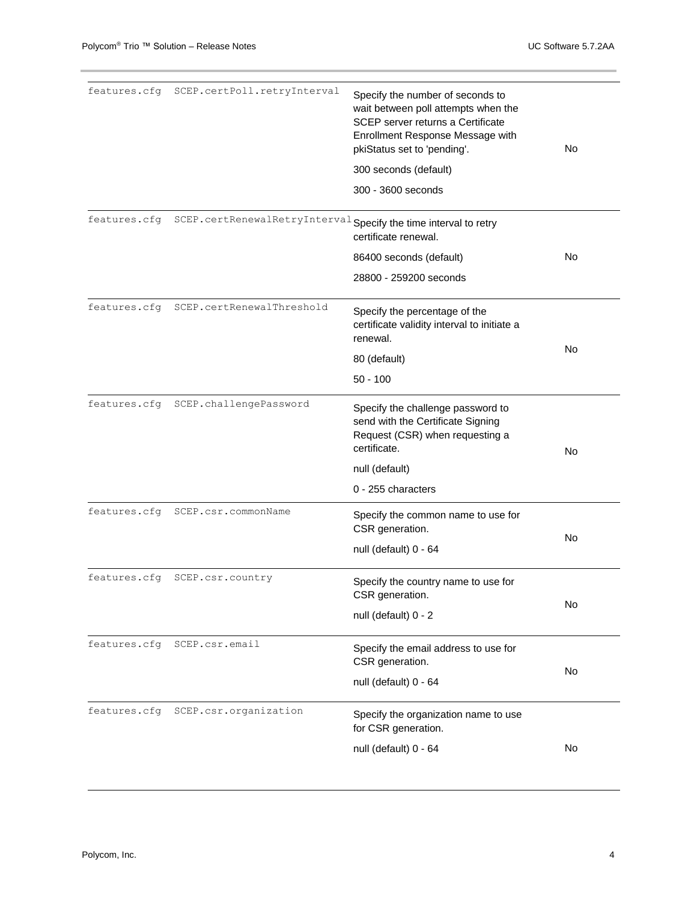| features.cfg | SCEP.certPoll.retryInterval                                      | Specify the number of seconds to<br>wait between poll attempts when the<br>SCEP server returns a Certificate<br>Enrollment Response Message with<br>pkiStatus set to 'pending'.<br>300 seconds (default)<br>300 - 3600 seconds | No |
|--------------|------------------------------------------------------------------|--------------------------------------------------------------------------------------------------------------------------------------------------------------------------------------------------------------------------------|----|
|              |                                                                  |                                                                                                                                                                                                                                |    |
| features.cfg | SCEP.certRenewalRetryInterval Specify the time interval to retry | certificate renewal.                                                                                                                                                                                                           |    |
|              |                                                                  | 86400 seconds (default)                                                                                                                                                                                                        | No |
|              |                                                                  | 28800 - 259200 seconds                                                                                                                                                                                                         |    |
| features.cfg | SCEP.certRenewalThreshold                                        | Specify the percentage of the<br>certificate validity interval to initiate a<br>renewal.                                                                                                                                       |    |
|              |                                                                  | 80 (default)                                                                                                                                                                                                                   | No |
|              |                                                                  | $50 - 100$                                                                                                                                                                                                                     |    |
| features.cfg | SCEP.challengePassword                                           | Specify the challenge password to<br>send with the Certificate Signing<br>Request (CSR) when requesting a<br>certificate.                                                                                                      | No |
|              |                                                                  | null (default)                                                                                                                                                                                                                 |    |
|              |                                                                  | 0 - 255 characters                                                                                                                                                                                                             |    |
| features.cfg | SCEP.csr.commonName                                              | Specify the common name to use for<br>CSR generation.                                                                                                                                                                          | No |
|              |                                                                  | null (default) 0 - 64                                                                                                                                                                                                          |    |
| features.cfg | SCEP.csr.country                                                 | Specify the country name to use for<br>CSR generation.                                                                                                                                                                         |    |
|              |                                                                  | null (default) 0 - 2                                                                                                                                                                                                           | No |
| features.cfg | SCEP.csr.email                                                   | Specify the email address to use for<br>CSR generation.                                                                                                                                                                        | No |
|              |                                                                  | null (default) 0 - 64                                                                                                                                                                                                          |    |
|              | features.cfg SCEP.csr.organization                               | Specify the organization name to use<br>for CSR generation.                                                                                                                                                                    |    |
|              |                                                                  | null (default) 0 - 64                                                                                                                                                                                                          | No |
|              |                                                                  |                                                                                                                                                                                                                                |    |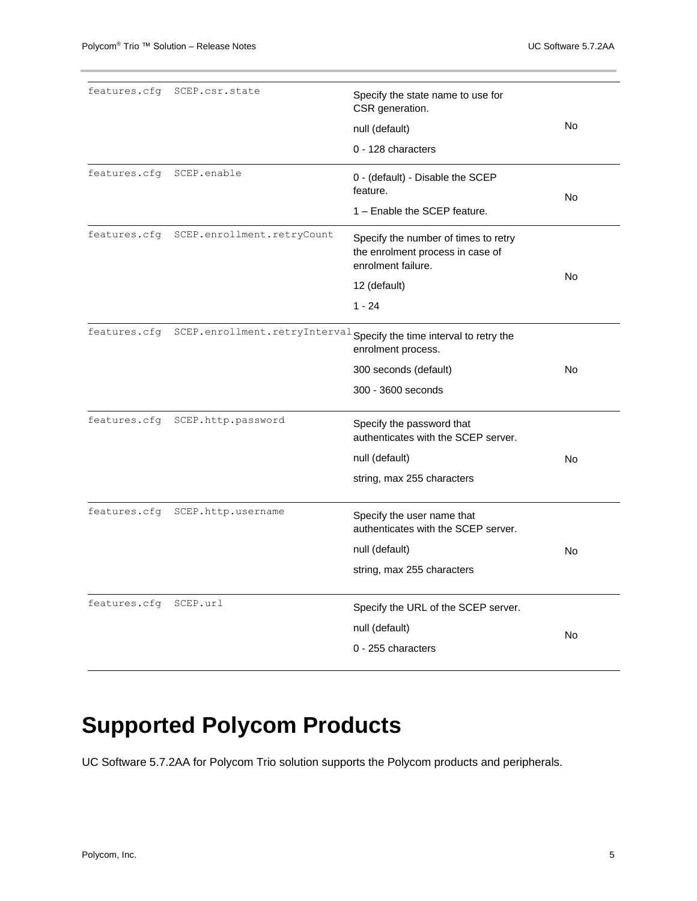| features.cfq | SCEP.csr.state                  | Specify the state name to use for<br>CSR generation.                                           |    |
|--------------|---------------------------------|------------------------------------------------------------------------------------------------|----|
|              |                                 | null (default)                                                                                 | No |
|              |                                 | 0 - 128 characters                                                                             |    |
| features.cfg | SCEP.enable                     | 0 - (default) - Disable the SCEP<br>feature.                                                   | No |
|              |                                 | 1 - Enable the SCEP feature.                                                                   |    |
| features.cfg | SCEP.enrollment.retryCount      | Specify the number of times to retry<br>the enrolment process in case of<br>enrolment failure. |    |
|              |                                 | 12 (default)                                                                                   | No |
|              |                                 | $1 - 24$                                                                                       |    |
| features.cfg |                                 | SCEP.enrollment.retryInterval Specify the time interval to retry the<br>enrolment process.     |    |
|              |                                 | 300 seconds (default)                                                                          | No |
|              |                                 | 300 - 3600 seconds                                                                             |    |
|              | features.cfq SCEP.http.password | Specify the password that<br>authenticates with the SCEP server.                               |    |
|              |                                 | null (default)                                                                                 | No |
|              |                                 | string, max 255 characters                                                                     |    |
| features.cfg | SCEP.http.username              | Specify the user name that<br>authenticates with the SCEP server.                              |    |
|              |                                 | null (default)                                                                                 | No |
|              |                                 | string, max 255 characters                                                                     |    |
| features.cfg | SCEP.url                        | Specify the URL of the SCEP server.                                                            |    |
|              |                                 | null (default)                                                                                 |    |
|              |                                 | 0 - 255 characters                                                                             | No |
|              |                                 |                                                                                                |    |

# <span id="page-4-0"></span>**Supported Polycom Products**

UC Software 5.7.2AA for Polycom Trio solution supports the Polycom products and peripherals.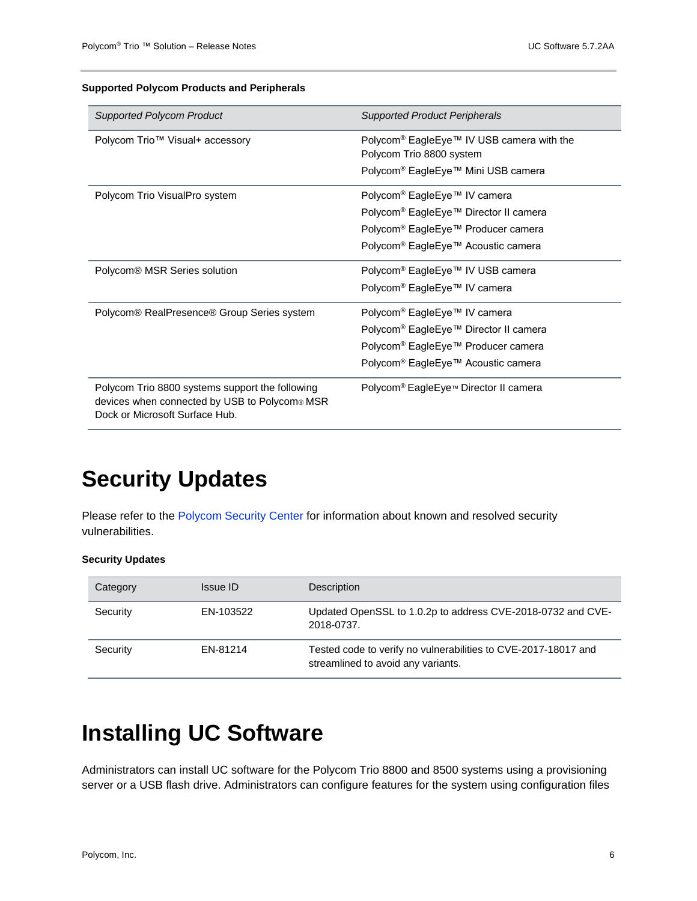#### **Supported Polycom Products and Peripherals**

| <b>Supported Polycom Product</b>                                                                                                   | <b>Supported Product Peripherals</b>                                              |
|------------------------------------------------------------------------------------------------------------------------------------|-----------------------------------------------------------------------------------|
| Polycom Trio™ Visual+ accessory                                                                                                    | Polycom <sup>®</sup> EagleEye™ IV USB camera with the<br>Polycom Trio 8800 system |
|                                                                                                                                    | Polycom <sup>®</sup> EagleEye™ Mini USB camera                                    |
| Polycom Trio VisualPro system                                                                                                      | Polycom <sup>®</sup> EagleEye™ IV camera                                          |
|                                                                                                                                    | Polycom <sup>®</sup> EagleEye™ Director II camera                                 |
|                                                                                                                                    | Polycom <sup>®</sup> EagleEye™ Producer camera                                    |
|                                                                                                                                    | Polycom <sup>®</sup> EagleEye™ Acoustic camera                                    |
| Polycom® MSR Series solution                                                                                                       | Polycom <sup>®</sup> EagleEye™ IV USB camera                                      |
|                                                                                                                                    | Polycom <sup>®</sup> EagleEye™ IV camera                                          |
| Polycom® RealPresence® Group Series system                                                                                         | Polycom <sup>®</sup> EagleEye™ IV camera                                          |
|                                                                                                                                    | Polycom <sup>®</sup> EagleEye™ Director II camera                                 |
|                                                                                                                                    | Polycom <sup>®</sup> EagleEye™ Producer camera                                    |
|                                                                                                                                    | Polycom <sup>®</sup> EagleEye™ Acoustic camera                                    |
| Polycom Trio 8800 systems support the following<br>devices when connected by USB to Polycom® MSR<br>Dock or Microsoft Surface Hub. | Polycom <sup>®</sup> EagleEye <sup>™</sup> Director II camera                     |

## <span id="page-5-0"></span>**Security Updates**

Please refer to the [Polycom Security Center](http://support.polycom.com/PolycomService/support/us/support/documentation/security_center.html) for information about known and resolved security vulnerabilities.

#### **Security Updates**

| Category | Issue ID  | Description                                                                                          |
|----------|-----------|------------------------------------------------------------------------------------------------------|
| Security | EN-103522 | Updated OpenSSL to 1.0.2p to address CVE-2018-0732 and CVE-<br>2018-0737.                            |
| Security | EN-81214  | Tested code to verify no vulnerabilities to CVE-2017-18017 and<br>streamlined to avoid any variants. |

## <span id="page-5-1"></span>**Installing UC Software**

Administrators can install UC software for the Polycom Trio 8800 and 8500 systems using a provisioning server or a USB flash drive. Administrators can configure features for the system using configuration files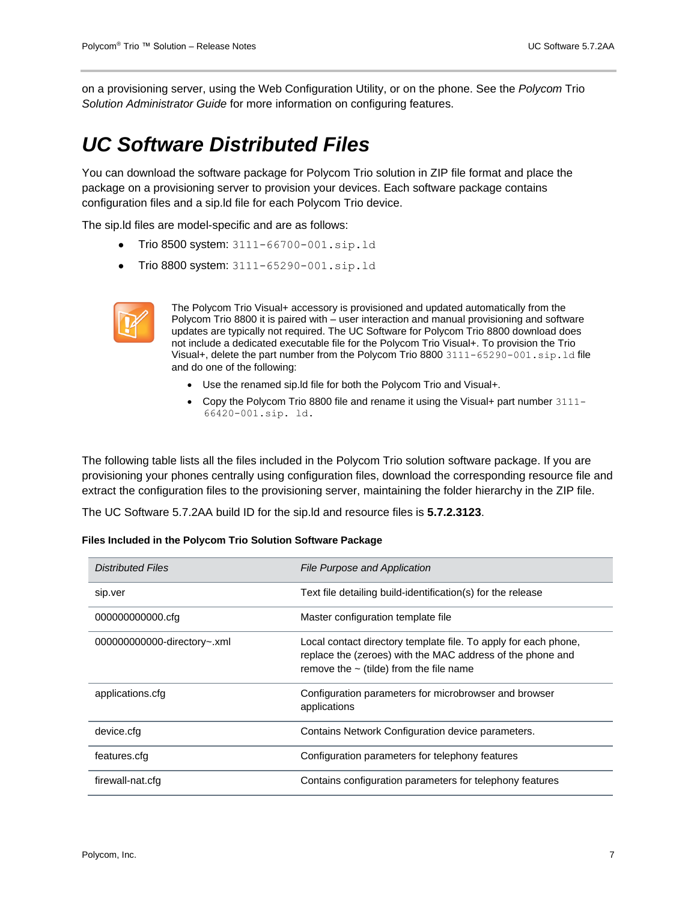on a provisioning server, using the Web Configuration Utility, or on the phone. See the *Polycom* Trio *Solution Administrator Guide* for more information on configuring features.

### <span id="page-6-0"></span>*UC Software Distributed Files*

You can download the software package for Polycom Trio solution in ZIP file format and place the package on a provisioning server to provision your devices. Each software package contains configuration files and a sip.ld file for each Polycom Trio device.

The sip.ld files are model-specific and are as follows:

- **Trio 8500 system:** 3111-66700-001.sip.ld
- Trio 8800 system: 3111-65290-001.sip.ld



The Polycom Trio Visual+ accessory is provisioned and updated automatically from the Polycom Trio 8800 it is paired with – user interaction and manual provisioning and software updates are typically not required. The UC Software for Polycom Trio 8800 download does not include a dedicated executable file for the Polycom Trio Visual+. To provision the Trio Visual+, delete the part number from the Polycom Trio 8800  $3111-65290-001$ .sip.ld file and do one of the following:

- Use the renamed sip.ld file for both the Polycom Trio and Visual+.
- Copy the Polycom Trio 8800 file and rename it using the Visual+ part number 3111-66420-001.sip. ld.

The following table lists all the files included in the Polycom Trio solution software package. If you are provisioning your phones centrally using configuration files, download the corresponding resource file and extract the configuration files to the provisioning server, maintaining the folder hierarchy in the ZIP file.

The UC Software 5.7.2AA build ID for the sip.ld and resource files is **5.7.2.3123**.

| Files Included in the Polycom Trio Solution Software Package |
|--------------------------------------------------------------|
|--------------------------------------------------------------|

| <b>Distributed Files</b>    | <b>File Purpose and Application</b>                                                                                                                                           |
|-----------------------------|-------------------------------------------------------------------------------------------------------------------------------------------------------------------------------|
| sip.ver                     | Text file detailing build-identification(s) for the release                                                                                                                   |
| 000000000000.cfg            | Master configuration template file                                                                                                                                            |
| 000000000000-directory~.xml | Local contact directory template file. To apply for each phone,<br>replace the (zeroes) with the MAC address of the phone and<br>remove the $\sim$ (tilde) from the file name |
| applications.cfg            | Configuration parameters for microbrowser and browser<br>applications                                                                                                         |
| device.cfg                  | Contains Network Configuration device parameters.                                                                                                                             |
| features.cfg                | Configuration parameters for telephony features                                                                                                                               |
| firewall-nat.cfg            | Contains configuration parameters for telephony features                                                                                                                      |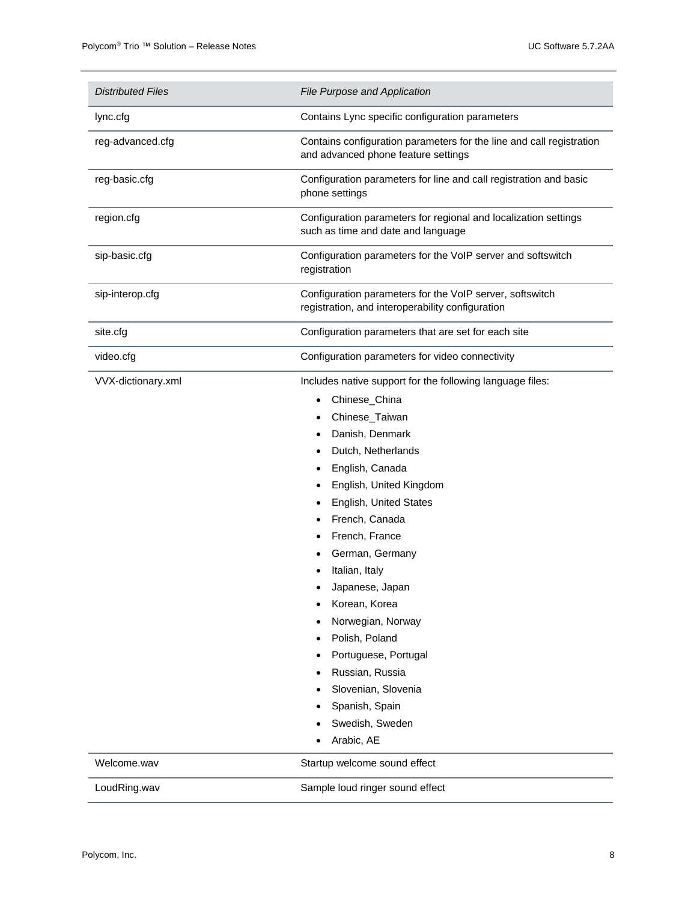| <b>Distributed Files</b> | File Purpose and Application                                                                                                                                                                                                                                                                                                                                                                                                                                                           |
|--------------------------|----------------------------------------------------------------------------------------------------------------------------------------------------------------------------------------------------------------------------------------------------------------------------------------------------------------------------------------------------------------------------------------------------------------------------------------------------------------------------------------|
| lync.cfg                 | Contains Lync specific configuration parameters                                                                                                                                                                                                                                                                                                                                                                                                                                        |
| reg-advanced.cfg         | Contains configuration parameters for the line and call registration<br>and advanced phone feature settings                                                                                                                                                                                                                                                                                                                                                                            |
| reg-basic.cfg            | Configuration parameters for line and call registration and basic<br>phone settings                                                                                                                                                                                                                                                                                                                                                                                                    |
| region.cfg               | Configuration parameters for regional and localization settings<br>such as time and date and language                                                                                                                                                                                                                                                                                                                                                                                  |
| sip-basic.cfg            | Configuration parameters for the VoIP server and softswitch<br>registration                                                                                                                                                                                                                                                                                                                                                                                                            |
| sip-interop.cfg          | Configuration parameters for the VoIP server, softswitch<br>registration, and interoperability configuration                                                                                                                                                                                                                                                                                                                                                                           |
| site.cfg                 | Configuration parameters that are set for each site                                                                                                                                                                                                                                                                                                                                                                                                                                    |
| video.cfg                | Configuration parameters for video connectivity                                                                                                                                                                                                                                                                                                                                                                                                                                        |
| VVX-dictionary.xml       | Includes native support for the following language files:<br>Chinese China<br>Chinese_Taiwan<br>Danish, Denmark<br>Dutch, Netherlands<br>English, Canada<br>English, United Kingdom<br>English, United States<br>French, Canada<br>French, France<br>German, Germany<br>Italian, Italy<br>Japanese, Japan<br>Korean, Korea<br>Norwegian, Norway<br>Polish, Poland<br>Portuguese, Portugal<br>Russian, Russia<br>Slovenian, Slovenia<br>Spanish, Spain<br>Swedish, Sweden<br>Arabic, AE |
| Welcome.wav              | Startup welcome sound effect                                                                                                                                                                                                                                                                                                                                                                                                                                                           |
| LoudRing.wav             | Sample loud ringer sound effect                                                                                                                                                                                                                                                                                                                                                                                                                                                        |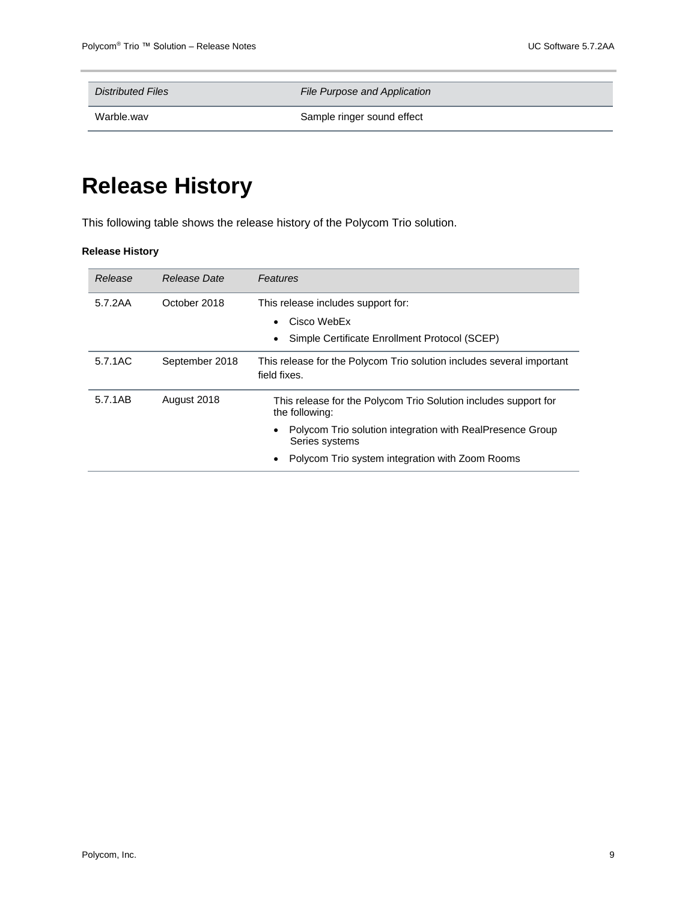*Distributed Files File Purpose and Application*

Warble.wav **Sample ringer sound effect** 

# <span id="page-8-0"></span>**Release History**

This following table shows the release history of the Polycom Trio solution.

#### **Release History**

| Release | Release Date   | <b>Features</b>                                                                       |
|---------|----------------|---------------------------------------------------------------------------------------|
| 5.7.2AA | October 2018   | This release includes support for:                                                    |
|         |                | Cisco WebEx                                                                           |
|         |                | Simple Certificate Enrollment Protocol (SCEP)                                         |
| 5.7.1AC | September 2018 | This release for the Polycom Trio solution includes several important<br>field fixes. |
| 5.7.1AB | August 2018    | This release for the Polycom Trio Solution includes support for<br>the following:     |
|         |                | Polycom Trio solution integration with RealPresence Group<br>Series systems           |
|         |                | Polycom Trio system integration with Zoom Rooms                                       |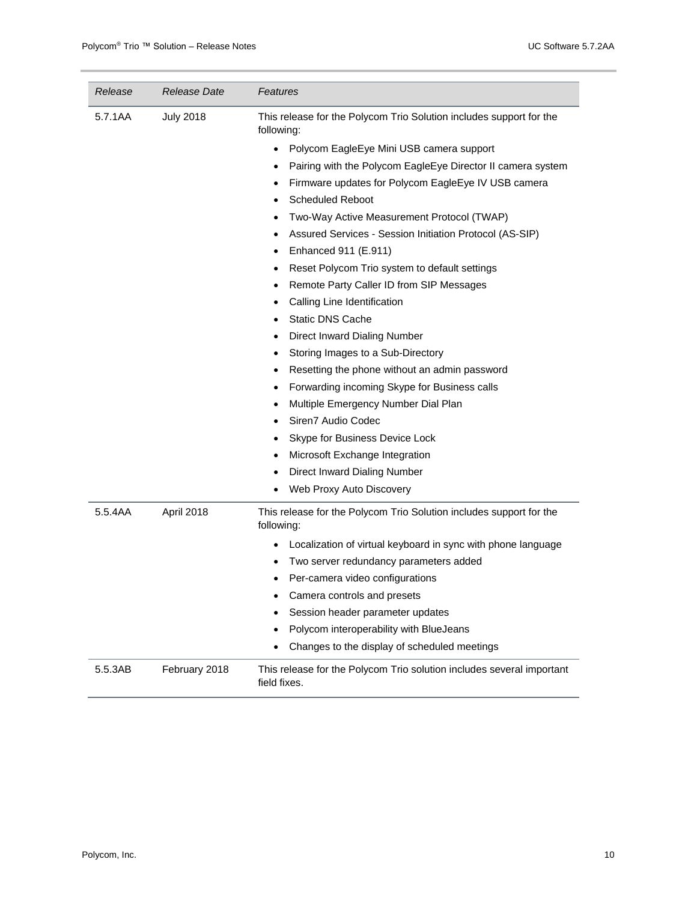| Release | Release Date     | Features                                                                              |
|---------|------------------|---------------------------------------------------------------------------------------|
| 5.7.1AA | <b>July 2018</b> | This release for the Polycom Trio Solution includes support for the<br>following:     |
|         |                  | Polycom EagleEye Mini USB camera support<br>$\bullet$                                 |
|         |                  | Pairing with the Polycom EagleEye Director II camera system<br>$\bullet$              |
|         |                  | Firmware updates for Polycom EagleEye IV USB camera<br>$\bullet$                      |
|         |                  | <b>Scheduled Reboot</b><br>$\bullet$                                                  |
|         |                  | Two-Way Active Measurement Protocol (TWAP)<br>٠                                       |
|         |                  | Assured Services - Session Initiation Protocol (AS-SIP)<br>$\bullet$                  |
|         |                  | Enhanced 911 (E.911)<br>$\bullet$                                                     |
|         |                  | Reset Polycom Trio system to default settings<br>٠                                    |
|         |                  | Remote Party Caller ID from SIP Messages<br>٠                                         |
|         |                  | Calling Line Identification<br>$\bullet$                                              |
|         |                  | <b>Static DNS Cache</b>                                                               |
|         |                  | Direct Inward Dialing Number<br>$\bullet$                                             |
|         |                  | Storing Images to a Sub-Directory<br>$\bullet$                                        |
|         |                  | Resetting the phone without an admin password<br>$\bullet$                            |
|         |                  | Forwarding incoming Skype for Business calls<br>$\bullet$                             |
|         |                  | Multiple Emergency Number Dial Plan<br>$\bullet$                                      |
|         |                  | Siren7 Audio Codec<br>$\bullet$                                                       |
|         |                  | Skype for Business Device Lock<br>٠                                                   |
|         |                  | Microsoft Exchange Integration                                                        |
|         |                  | Direct Inward Dialing Number<br>٠                                                     |
|         |                  | Web Proxy Auto Discovery<br>$\bullet$                                                 |
| 5.5.4AA | April 2018       | This release for the Polycom Trio Solution includes support for the<br>following:     |
|         |                  | Localization of virtual keyboard in sync with phone language                          |
|         |                  | Two server redundancy parameters added<br>٠                                           |
|         |                  | Per-camera video configurations                                                       |
|         |                  | Camera controls and presets<br>٠                                                      |
|         |                  | Session header parameter updates                                                      |
|         |                  | Polycom interoperability with BlueJeans<br>٠                                          |
|         |                  | Changes to the display of scheduled meetings                                          |
| 5.5.3AB | February 2018    | This release for the Polycom Trio solution includes several important<br>field fixes. |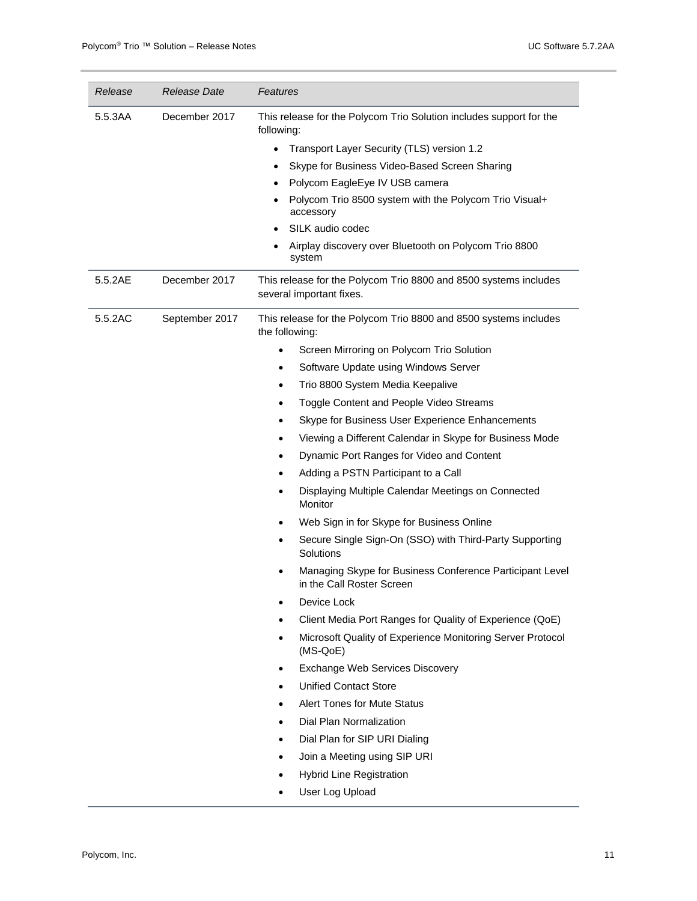| Release | Release Date   | Features                                                                                                                                                                                                                                                                                                                                                                                                                                                                                                                                                                                                                                                                                                                                                                                                                                                                                                                                                                                                                                                                                                                                                                                                                                                                           |  |
|---------|----------------|------------------------------------------------------------------------------------------------------------------------------------------------------------------------------------------------------------------------------------------------------------------------------------------------------------------------------------------------------------------------------------------------------------------------------------------------------------------------------------------------------------------------------------------------------------------------------------------------------------------------------------------------------------------------------------------------------------------------------------------------------------------------------------------------------------------------------------------------------------------------------------------------------------------------------------------------------------------------------------------------------------------------------------------------------------------------------------------------------------------------------------------------------------------------------------------------------------------------------------------------------------------------------------|--|
| 5.5.3AA | December 2017  | This release for the Polycom Trio Solution includes support for the<br>following:<br>Transport Layer Security (TLS) version 1.2<br>$\bullet$<br>Skype for Business Video-Based Screen Sharing<br>٠<br>Polycom EagleEye IV USB camera<br>Polycom Trio 8500 system with the Polycom Trio Visual+<br>accessory<br>SILK audio codec<br>Airplay discovery over Bluetooth on Polycom Trio 8800                                                                                                                                                                                                                                                                                                                                                                                                                                                                                                                                                                                                                                                                                                                                                                                                                                                                                           |  |
|         |                | system                                                                                                                                                                                                                                                                                                                                                                                                                                                                                                                                                                                                                                                                                                                                                                                                                                                                                                                                                                                                                                                                                                                                                                                                                                                                             |  |
| 5.5.2AE | December 2017  | This release for the Polycom Trio 8800 and 8500 systems includes<br>several important fixes.                                                                                                                                                                                                                                                                                                                                                                                                                                                                                                                                                                                                                                                                                                                                                                                                                                                                                                                                                                                                                                                                                                                                                                                       |  |
| 5.5.2AC | September 2017 | This release for the Polycom Trio 8800 and 8500 systems includes<br>the following:<br>Screen Mirroring on Polycom Trio Solution<br>$\bullet$<br>Software Update using Windows Server<br>$\bullet$<br>Trio 8800 System Media Keepalive<br>$\bullet$<br>Toggle Content and People Video Streams<br>$\bullet$<br>Skype for Business User Experience Enhancements<br>٠<br>Viewing a Different Calendar in Skype for Business Mode<br>$\bullet$<br>Dynamic Port Ranges for Video and Content<br>$\bullet$<br>Adding a PSTN Participant to a Call<br>$\bullet$<br>Displaying Multiple Calendar Meetings on Connected<br>٠<br>Monitor<br>Web Sign in for Skype for Business Online<br>$\bullet$<br>Secure Single Sign-On (SSO) with Third-Party Supporting<br>٠<br>Solutions<br>Managing Skype for Business Conference Participant Level<br>in the Call Roster Screen<br>Device Lock<br>$\bullet$<br>Client Media Port Ranges for Quality of Experience (QoE)<br>$\bullet$<br>Microsoft Quality of Experience Monitoring Server Protocol<br>$\bullet$<br>$(MS-QoE)$<br>Exchange Web Services Discovery<br>٠<br><b>Unified Contact Store</b><br>$\bullet$<br><b>Alert Tones for Mute Status</b><br>$\bullet$<br>Dial Plan Normalization<br>٠<br>Dial Plan for SIP URI Dialing<br>$\bullet$ |  |
|         |                | Join a Meeting using SIP URI<br>$\bullet$<br><b>Hybrid Line Registration</b><br>$\bullet$                                                                                                                                                                                                                                                                                                                                                                                                                                                                                                                                                                                                                                                                                                                                                                                                                                                                                                                                                                                                                                                                                                                                                                                          |  |
|         |                | User Log Upload<br>$\bullet$                                                                                                                                                                                                                                                                                                                                                                                                                                                                                                                                                                                                                                                                                                                                                                                                                                                                                                                                                                                                                                                                                                                                                                                                                                                       |  |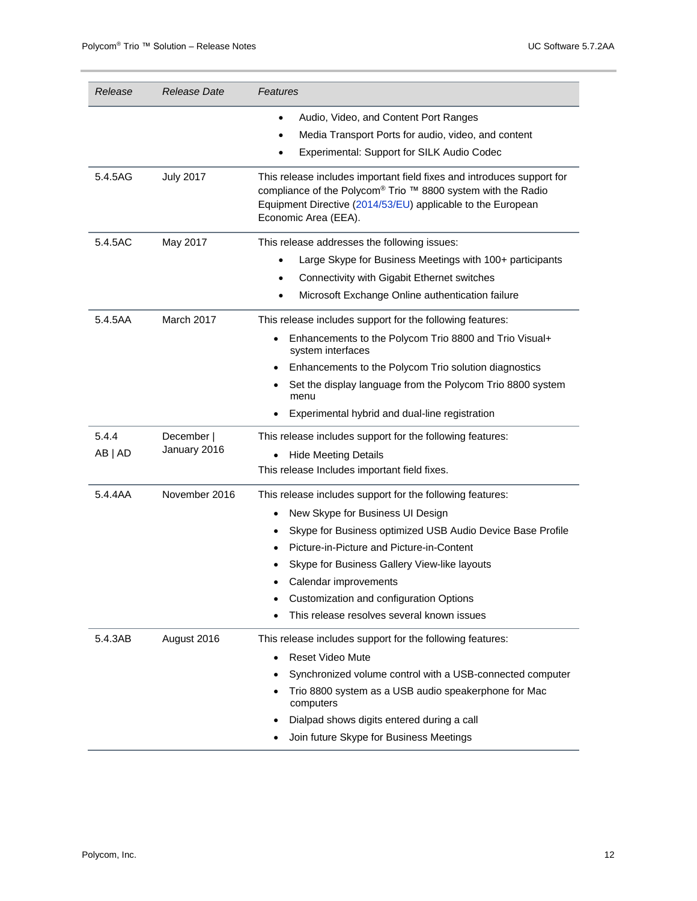| Release          | Release Date               | Features                                                                                                                                                                                                                                                                                                                                                                                |
|------------------|----------------------------|-----------------------------------------------------------------------------------------------------------------------------------------------------------------------------------------------------------------------------------------------------------------------------------------------------------------------------------------------------------------------------------------|
|                  |                            | Audio, Video, and Content Port Ranges<br>$\bullet$<br>Media Transport Ports for audio, video, and content<br>Experimental: Support for SILK Audio Codec<br>$\bullet$                                                                                                                                                                                                                    |
| 5.4.5AG          | <b>July 2017</b>           | This release includes important field fixes and introduces support for<br>compliance of the Polycom® Trio ™ 8800 system with the Radio<br>Equipment Directive (2014/53/EU) applicable to the European<br>Economic Area (EEA).                                                                                                                                                           |
| 5.4.5AC          | May 2017                   | This release addresses the following issues:<br>Large Skype for Business Meetings with 100+ participants<br>Connectivity with Gigabit Ethernet switches<br>٠<br>Microsoft Exchange Online authentication failure<br>$\bullet$                                                                                                                                                           |
| 5.4.5AA          | March 2017                 | This release includes support for the following features:<br>Enhancements to the Polycom Trio 8800 and Trio Visual+<br>system interfaces<br>Enhancements to the Polycom Trio solution diagnostics<br>Set the display language from the Polycom Trio 8800 system<br>menu<br>Experimental hybrid and dual-line registration                                                               |
| 5.4.4<br>AB   AD | December  <br>January 2016 | This release includes support for the following features:<br><b>Hide Meeting Details</b><br>$\bullet$<br>This release Includes important field fixes.                                                                                                                                                                                                                                   |
| 5.4.4AA          | November 2016              | This release includes support for the following features:<br>New Skype for Business UI Design<br>$\bullet$<br>Skype for Business optimized USB Audio Device Base Profile<br>Picture-in-Picture and Picture-in-Content<br>Skype for Business Gallery View-like layouts<br>Calendar improvements<br>Customization and configuration Options<br>This release resolves several known issues |
| 5.4.3AB          | August 2016                | This release includes support for the following features:<br><b>Reset Video Mute</b><br>$\bullet$<br>Synchronized volume control with a USB-connected computer<br>Trio 8800 system as a USB audio speakerphone for Mac<br>computers<br>Dialpad shows digits entered during a call<br>Join future Skype for Business Meetings                                                            |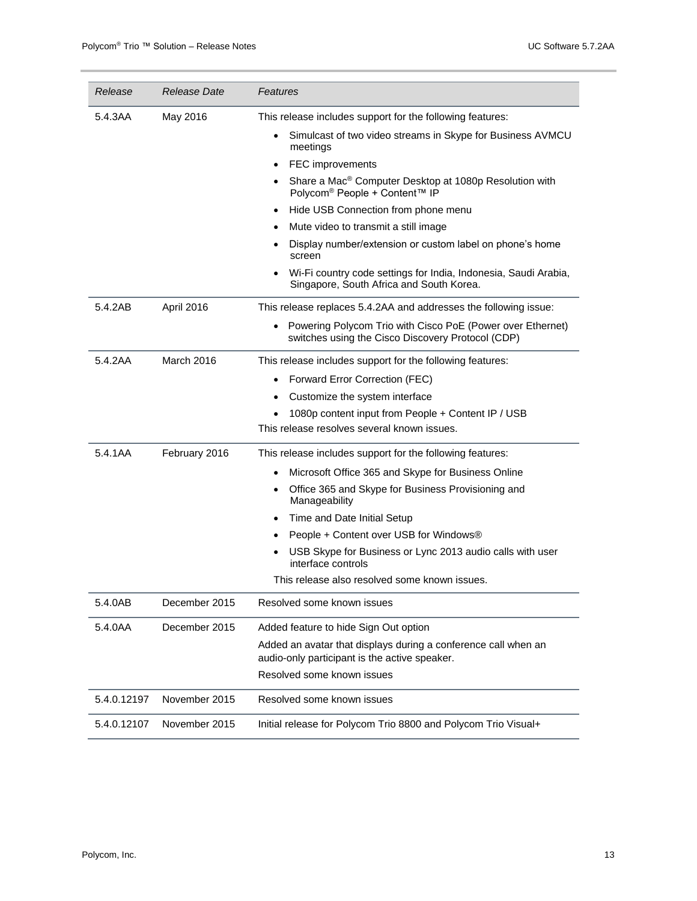| Release     | Release Date  | Features                                                                                                        |  |
|-------------|---------------|-----------------------------------------------------------------------------------------------------------------|--|
| 5.4.3AA     | May 2016      | This release includes support for the following features:                                                       |  |
|             |               | Simulcast of two video streams in Skype for Business AVMCU<br>meetings                                          |  |
|             |               | FEC improvements<br>$\bullet$                                                                                   |  |
|             |               | Share a Mac <sup>®</sup> Computer Desktop at 1080p Resolution with<br>Polycom <sup>®</sup> People + Content™ IP |  |
|             |               | Hide USB Connection from phone menu                                                                             |  |
|             |               | Mute video to transmit a still image                                                                            |  |
|             |               | Display number/extension or custom label on phone's home<br>screen                                              |  |
|             |               | Wi-Fi country code settings for India, Indonesia, Saudi Arabia,<br>Singapore, South Africa and South Korea.     |  |
| 5.4.2AB     | April 2016    | This release replaces 5.4.2AA and addresses the following issue:                                                |  |
|             |               | Powering Polycom Trio with Cisco PoE (Power over Ethernet)<br>switches using the Cisco Discovery Protocol (CDP) |  |
| 5.4.2AA     | March 2016    | This release includes support for the following features:                                                       |  |
|             |               | Forward Error Correction (FEC)                                                                                  |  |
|             |               | Customize the system interface                                                                                  |  |
|             |               | 1080p content input from People + Content IP / USB                                                              |  |
|             |               | This release resolves several known issues.                                                                     |  |
| 5.4.1AA     | February 2016 | This release includes support for the following features:                                                       |  |
|             |               | Microsoft Office 365 and Skype for Business Online                                                              |  |
|             |               | Office 365 and Skype for Business Provisioning and<br>Manageability                                             |  |
|             |               | Time and Date Initial Setup                                                                                     |  |
|             |               | People + Content over USB for Windows®                                                                          |  |
|             |               | USB Skype for Business or Lync 2013 audio calls with user<br>interface controls                                 |  |
|             |               | This release also resolved some known issues.                                                                   |  |
| 5.4.0AB     | December 2015 | Resolved some known issues                                                                                      |  |
| 5.4.0AA     | December 2015 | Added feature to hide Sign Out option                                                                           |  |
|             |               | Added an avatar that displays during a conference call when an<br>audio-only participant is the active speaker. |  |
|             |               | Resolved some known issues                                                                                      |  |
| 5.4.0.12197 | November 2015 | Resolved some known issues                                                                                      |  |
| 5.4.0.12107 | November 2015 | Initial release for Polycom Trio 8800 and Polycom Trio Visual+                                                  |  |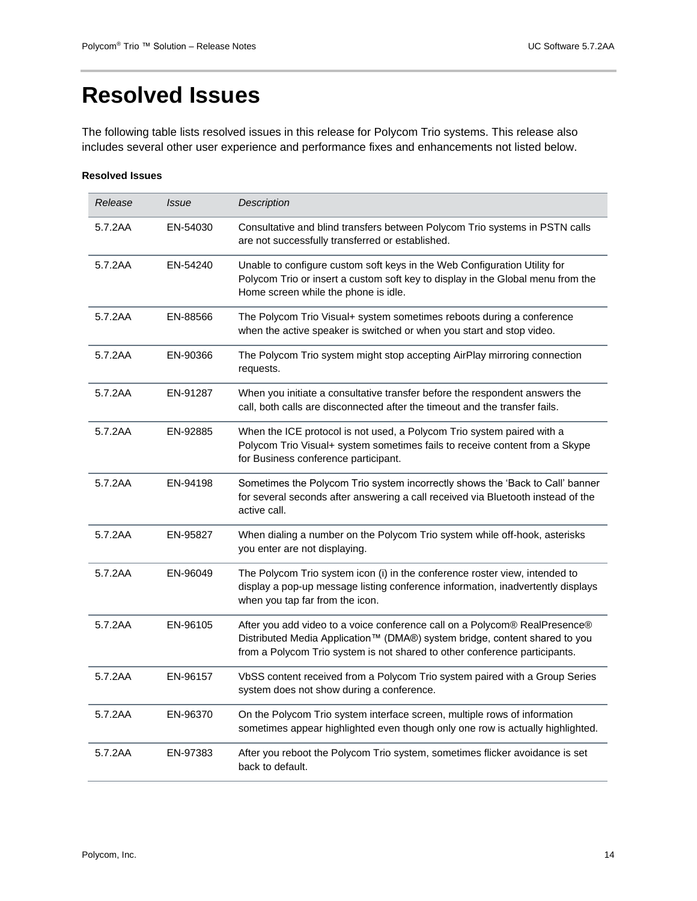# <span id="page-13-0"></span>**Resolved Issues**

The following table lists resolved issues in this release for Polycom Trio systems. This release also includes several other user experience and performance fixes and enhancements not listed below.

#### **Resolved Issues**

| Release | <b>Issue</b> | <b>Description</b>                                                                                                                                                                                                                     |
|---------|--------------|----------------------------------------------------------------------------------------------------------------------------------------------------------------------------------------------------------------------------------------|
| 5.7.2AA | EN-54030     | Consultative and blind transfers between Polycom Trio systems in PSTN calls<br>are not successfully transferred or established.                                                                                                        |
| 5.7.2AA | EN-54240     | Unable to configure custom soft keys in the Web Configuration Utility for<br>Polycom Trio or insert a custom soft key to display in the Global menu from the<br>Home screen while the phone is idle.                                   |
| 5.7.2AA | EN-88566     | The Polycom Trio Visual+ system sometimes reboots during a conference<br>when the active speaker is switched or when you start and stop video.                                                                                         |
| 5.7.2AA | EN-90366     | The Polycom Trio system might stop accepting AirPlay mirroring connection<br>requests.                                                                                                                                                 |
| 5.7.2AA | EN-91287     | When you initiate a consultative transfer before the respondent answers the<br>call, both calls are disconnected after the timeout and the transfer fails.                                                                             |
| 5.7.2AA | EN-92885     | When the ICE protocol is not used, a Polycom Trio system paired with a<br>Polycom Trio Visual+ system sometimes fails to receive content from a Skype<br>for Business conference participant.                                          |
| 5.7.2AA | EN-94198     | Sometimes the Polycom Trio system incorrectly shows the 'Back to Call' banner<br>for several seconds after answering a call received via Bluetooth instead of the<br>active call.                                                      |
| 5.7.2AA | EN-95827     | When dialing a number on the Polycom Trio system while off-hook, asterisks<br>you enter are not displaying.                                                                                                                            |
| 5.7.2AA | EN-96049     | The Polycom Trio system icon (i) in the conference roster view, intended to<br>display a pop-up message listing conference information, inadvertently displays<br>when you tap far from the icon.                                      |
| 5.7.2AA | EN-96105     | After you add video to a voice conference call on a Polycom® RealPresence®<br>Distributed Media Application™ (DMA®) system bridge, content shared to you<br>from a Polycom Trio system is not shared to other conference participants. |
| 5.7.2AA | EN-96157     | VbSS content received from a Polycom Trio system paired with a Group Series<br>system does not show during a conference.                                                                                                               |
| 5.7.2AA | EN-96370     | On the Polycom Trio system interface screen, multiple rows of information<br>sometimes appear highlighted even though only one row is actually highlighted.                                                                            |
| 5.7.2AA | EN-97383     | After you reboot the Polycom Trio system, sometimes flicker avoidance is set<br>back to default.                                                                                                                                       |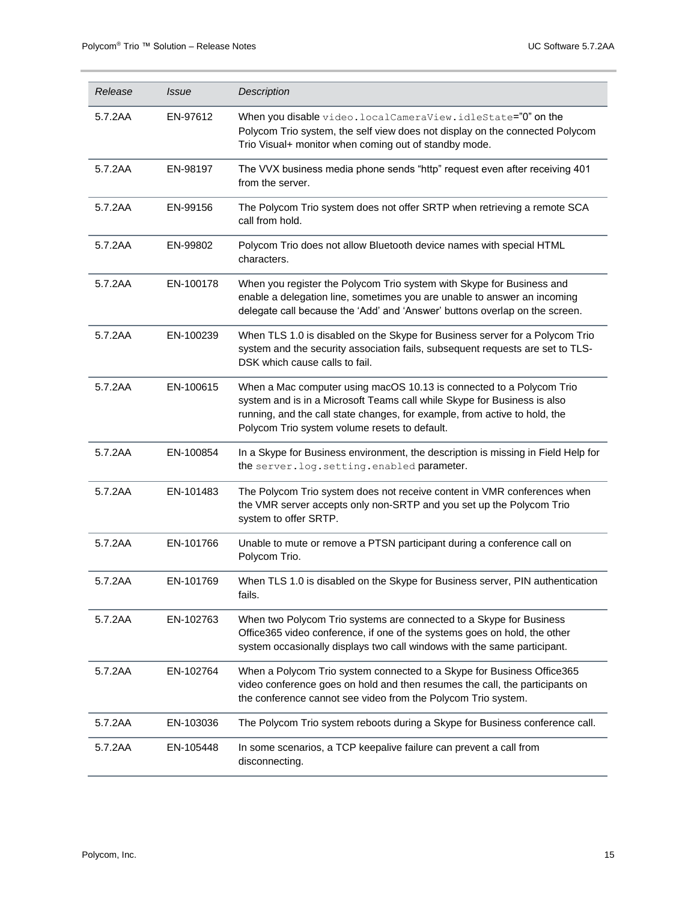| Release | <i>Issue</i> | Description                                                                                                                                                                                                                                                                     |
|---------|--------------|---------------------------------------------------------------------------------------------------------------------------------------------------------------------------------------------------------------------------------------------------------------------------------|
| 5.7.2AA | EN-97612     | When you disable video.localCameraView.idleState="0" on the<br>Polycom Trio system, the self view does not display on the connected Polycom<br>Trio Visual+ monitor when coming out of standby mode.                                                                            |
| 5.7.2AA | EN-98197     | The VVX business media phone sends "http" request even after receiving 401<br>from the server.                                                                                                                                                                                  |
| 5.7.2AA | EN-99156     | The Polycom Trio system does not offer SRTP when retrieving a remote SCA<br>call from hold.                                                                                                                                                                                     |
| 5.7.2AA | EN-99802     | Polycom Trio does not allow Bluetooth device names with special HTML<br>characters.                                                                                                                                                                                             |
| 5.7.2AA | EN-100178    | When you register the Polycom Trio system with Skype for Business and<br>enable a delegation line, sometimes you are unable to answer an incoming<br>delegate call because the 'Add' and 'Answer' buttons overlap on the screen.                                                |
| 5.7.2AA | EN-100239    | When TLS 1.0 is disabled on the Skype for Business server for a Polycom Trio<br>system and the security association fails, subsequent requests are set to TLS-<br>DSK which cause calls to fail.                                                                                |
| 5.7.2AA | EN-100615    | When a Mac computer using macOS 10.13 is connected to a Polycom Trio<br>system and is in a Microsoft Teams call while Skype for Business is also<br>running, and the call state changes, for example, from active to hold, the<br>Polycom Trio system volume resets to default. |
| 5.7.2AA | EN-100854    | In a Skype for Business environment, the description is missing in Field Help for<br>the server. log. setting. enabled parameter.                                                                                                                                               |
| 5.7.2AA | EN-101483    | The Polycom Trio system does not receive content in VMR conferences when<br>the VMR server accepts only non-SRTP and you set up the Polycom Trio<br>system to offer SRTP.                                                                                                       |
| 5.7.2AA | EN-101766    | Unable to mute or remove a PTSN participant during a conference call on<br>Polycom Trio.                                                                                                                                                                                        |
| 5.7.2AA | EN-101769    | When TLS 1.0 is disabled on the Skype for Business server, PIN authentication<br>fails.                                                                                                                                                                                         |
| 5.7.2AA | EN-102763    | When two Polycom Trio systems are connected to a Skype for Business<br>Office365 video conference, if one of the systems goes on hold, the other<br>system occasionally displays two call windows with the same participant.                                                    |
| 5.7.2AA | EN-102764    | When a Polycom Trio system connected to a Skype for Business Office365<br>video conference goes on hold and then resumes the call, the participants on<br>the conference cannot see video from the Polycom Trio system.                                                         |
| 5.7.2AA | EN-103036    | The Polycom Trio system reboots during a Skype for Business conference call.                                                                                                                                                                                                    |
| 5.7.2AA | EN-105448    | In some scenarios, a TCP keepalive failure can prevent a call from<br>disconnecting.                                                                                                                                                                                            |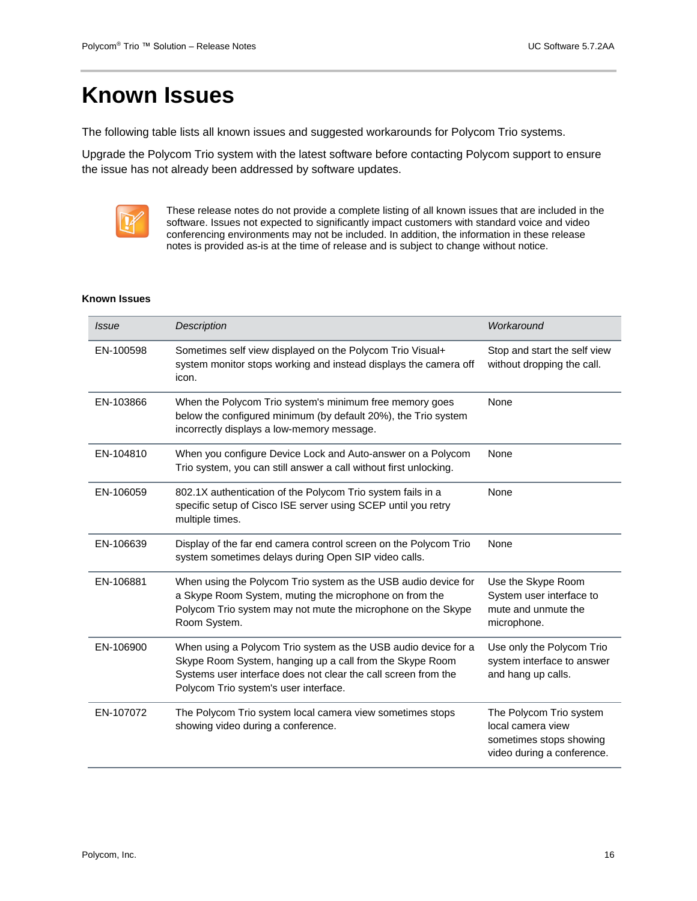## <span id="page-15-0"></span>**Known Issues**

The following table lists all known issues and suggested workarounds for Polycom Trio systems.

Upgrade the Polycom Trio system with the latest software before contacting Polycom support to ensure the issue has not already been addressed by software updates.



These release notes do not provide a complete listing of all known issues that are included in the software. Issues not expected to significantly impact customers with standard voice and video conferencing environments may not be included. In addition, the information in these release notes is provided as-is at the time of release and is subject to change without notice.

#### **Known Issues**

| <i>Issue</i> | <b>Description</b>                                                                                                                                                                                                                    | Workaround                                                                                            |
|--------------|---------------------------------------------------------------------------------------------------------------------------------------------------------------------------------------------------------------------------------------|-------------------------------------------------------------------------------------------------------|
| EN-100598    | Sometimes self view displayed on the Polycom Trio Visual+<br>system monitor stops working and instead displays the camera off<br>icon.                                                                                                | Stop and start the self view<br>without dropping the call.                                            |
| EN-103866    | When the Polycom Trio system's minimum free memory goes<br>below the configured minimum (by default 20%), the Trio system<br>incorrectly displays a low-memory message.                                                               | None                                                                                                  |
| EN-104810    | When you configure Device Lock and Auto-answer on a Polycom<br>Trio system, you can still answer a call without first unlocking.                                                                                                      | None                                                                                                  |
| EN-106059    | 802.1X authentication of the Polycom Trio system fails in a<br>specific setup of Cisco ISE server using SCEP until you retry<br>multiple times.                                                                                       | None                                                                                                  |
| EN-106639    | Display of the far end camera control screen on the Polycom Trio<br>system sometimes delays during Open SIP video calls.                                                                                                              | None                                                                                                  |
| EN-106881    | When using the Polycom Trio system as the USB audio device for<br>a Skype Room System, muting the microphone on from the<br>Polycom Trio system may not mute the microphone on the Skype<br>Room System.                              | Use the Skype Room<br>System user interface to<br>mute and unmute the<br>microphone.                  |
| EN-106900    | When using a Polycom Trio system as the USB audio device for a<br>Skype Room System, hanging up a call from the Skype Room<br>Systems user interface does not clear the call screen from the<br>Polycom Trio system's user interface. | Use only the Polycom Trio<br>system interface to answer<br>and hang up calls.                         |
| EN-107072    | The Polycom Trio system local camera view sometimes stops<br>showing video during a conference.                                                                                                                                       | The Polycom Trio system<br>local camera view<br>sometimes stops showing<br>video during a conference. |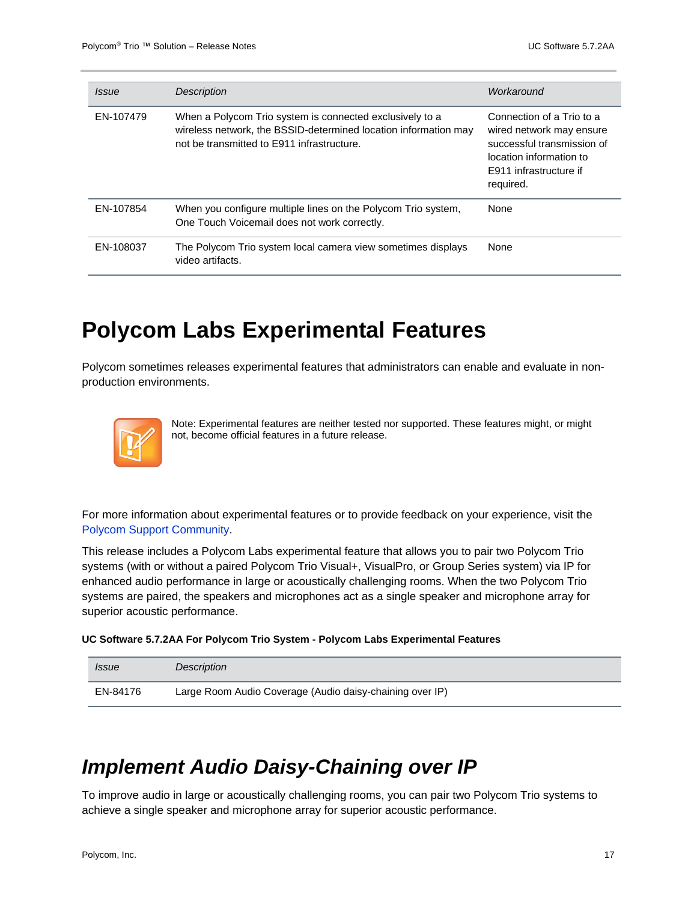| <i>Issue</i> | <b>Description</b>                                                                                                                                                        | Workaround                                                                                                                                                   |
|--------------|---------------------------------------------------------------------------------------------------------------------------------------------------------------------------|--------------------------------------------------------------------------------------------------------------------------------------------------------------|
| EN-107479    | When a Polycom Trio system is connected exclusively to a<br>wireless network, the BSSID-determined location information may<br>not be transmitted to E911 infrastructure. | Connection of a Trio to a<br>wired network may ensure<br>successful transmission of<br>location information to<br><b>E911</b> infrastructure if<br>required. |
| EN-107854    | When you configure multiple lines on the Polycom Trio system,<br>One Touch Voicemail does not work correctly.                                                             | None                                                                                                                                                         |
| EN-108037    | The Polycom Trio system local camera view sometimes displays<br>video artifacts.                                                                                          | None                                                                                                                                                         |

## <span id="page-16-0"></span>**Polycom Labs Experimental Features**

Polycom sometimes releases experimental features that administrators can enable and evaluate in nonproduction environments.

|--|

Note: Experimental features are neither tested nor supported. These features might, or might not, become official features in a future release.

For more information about experimental features or to provide feedback on your experience, visit the [Polycom Support Community.](http://community.polycom.com/)

This release includes a Polycom Labs experimental feature that allows you to pair two Polycom Trio systems (with or without a paired Polycom Trio Visual+, VisualPro, or Group Series system) via IP for enhanced audio performance in large or acoustically challenging rooms. When the two Polycom Trio systems are paired, the speakers and microphones act as a single speaker and microphone array for superior acoustic performance.

**UC Software 5.7.2AA For Polycom Trio System - Polycom Labs Experimental Features**

| <i>Issue</i> | Description                                              |
|--------------|----------------------------------------------------------|
| EN-84176     | Large Room Audio Coverage (Audio daisy-chaining over IP) |

## <span id="page-16-1"></span>*Implement Audio Daisy-Chaining over IP*

To improve audio in large or acoustically challenging rooms, you can pair two Polycom Trio systems to achieve a single speaker and microphone array for superior acoustic performance.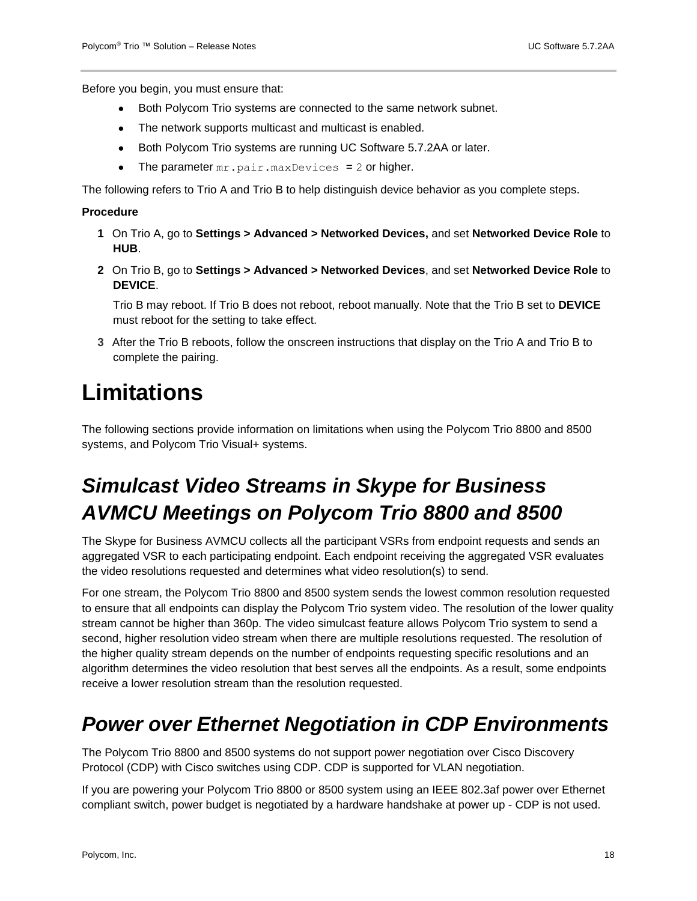Before you begin, you must ensure that:

- Both Polycom Trio systems are connected to the same network subnet.
- The network supports multicast and multicast is enabled.
- Both Polycom Trio systems are running UC Software 5.7.2AA or later.
- The parameter  $mr.pair.maxDevices = 2$  or higher.

The following refers to Trio A and Trio B to help distinguish device behavior as you complete steps.

#### **Procedure**

- **1** On Trio A, go to **Settings > Advanced > Networked Devices,** and set **Networked Device Role** to **HUB**.
- **2** On Trio B, go to **Settings > Advanced > Networked Devices**, and set **Networked Device Role** to **DEVICE**.

Trio B may reboot. If Trio B does not reboot, reboot manually. Note that the Trio B set to **DEVICE** must reboot for the setting to take effect.

**3** After the Trio B reboots, follow the onscreen instructions that display on the Trio A and Trio B to complete the pairing.

## <span id="page-17-0"></span>**Limitations**

The following sections provide information on limitations when using the Polycom Trio 8800 and 8500 systems, and Polycom Trio Visual+ systems.

## <span id="page-17-1"></span>*Simulcast Video Streams in Skype for Business AVMCU Meetings on Polycom Trio 8800 and 8500*

The Skype for Business AVMCU collects all the participant VSRs from endpoint requests and sends an aggregated VSR to each participating endpoint. Each endpoint receiving the aggregated VSR evaluates the video resolutions requested and determines what video resolution(s) to send.

For one stream, the Polycom Trio 8800 and 8500 system sends the lowest common resolution requested to ensure that all endpoints can display the Polycom Trio system video. The resolution of the lower quality stream cannot be higher than 360p. The video simulcast feature allows Polycom Trio system to send a second, higher resolution video stream when there are multiple resolutions requested. The resolution of the higher quality stream depends on the number of endpoints requesting specific resolutions and an algorithm determines the video resolution that best serves all the endpoints. As a result, some endpoints receive a lower resolution stream than the resolution requested.

### <span id="page-17-2"></span>*Power over Ethernet Negotiation in CDP Environments*

The Polycom Trio 8800 and 8500 systems do not support power negotiation over Cisco Discovery Protocol (CDP) with Cisco switches using CDP. CDP is supported for VLAN negotiation.

If you are powering your Polycom Trio 8800 or 8500 system using an IEEE 802.3af power over Ethernet compliant switch, power budget is negotiated by a hardware handshake at power up - CDP is not used.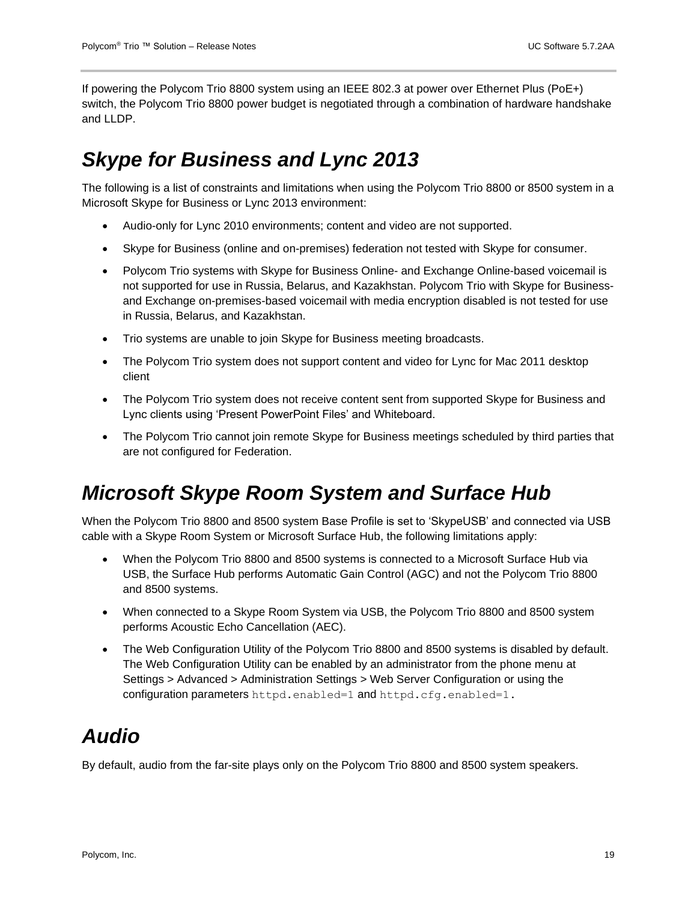If powering the Polycom Trio 8800 system using an IEEE 802.3 at power over Ethernet Plus (PoE+) switch, the Polycom Trio 8800 power budget is negotiated through a combination of hardware handshake and LLDP.

## <span id="page-18-0"></span>*Skype for Business and Lync 2013*

The following is a list of constraints and limitations when using the Polycom Trio 8800 or 8500 system in a Microsoft Skype for Business or Lync 2013 environment:

- Audio-only for Lync 2010 environments; content and video are not supported.
- Skype for Business (online and on-premises) federation not tested with Skype for consumer.
- Polycom Trio systems with Skype for Business Online- and Exchange Online-based voicemail is not supported for use in Russia, Belarus, and Kazakhstan. Polycom Trio with Skype for Businessand Exchange on-premises-based voicemail with media encryption disabled is not tested for use in Russia, Belarus, and Kazakhstan.
- Trio systems are unable to join Skype for Business meeting broadcasts.
- The Polycom Trio system does not support content and video for Lync for Mac 2011 desktop client
- The Polycom Trio system does not receive content sent from supported Skype for Business and Lync clients using 'Present PowerPoint Files' and Whiteboard.
- The Polycom Trio cannot join remote Skype for Business meetings scheduled by third parties that are not configured for Federation.

## <span id="page-18-1"></span>*Microsoft Skype Room System and Surface Hub*

When the Polycom Trio 8800 and 8500 system Base Profile is set to 'SkypeUSB' and connected via USB cable with a Skype Room System or Microsoft Surface Hub, the following limitations apply:

- When the Polycom Trio 8800 and 8500 systems is connected to a Microsoft Surface Hub via USB, the Surface Hub performs Automatic Gain Control (AGC) and not the Polycom Trio 8800 and 8500 systems.
- When connected to a Skype Room System via USB, the Polycom Trio 8800 and 8500 system performs Acoustic Echo Cancellation (AEC).
- The Web Configuration Utility of the Polycom Trio 8800 and 8500 systems is disabled by default. The Web Configuration Utility can be enabled by an administrator from the phone menu at Settings > Advanced > Administration Settings > Web Server Configuration or using the configuration parameters httpd.enabled=1 and httpd.cfg.enabled=1.

## <span id="page-18-2"></span>*Audio*

By default, audio from the far-site plays only on the Polycom Trio 8800 and 8500 system speakers.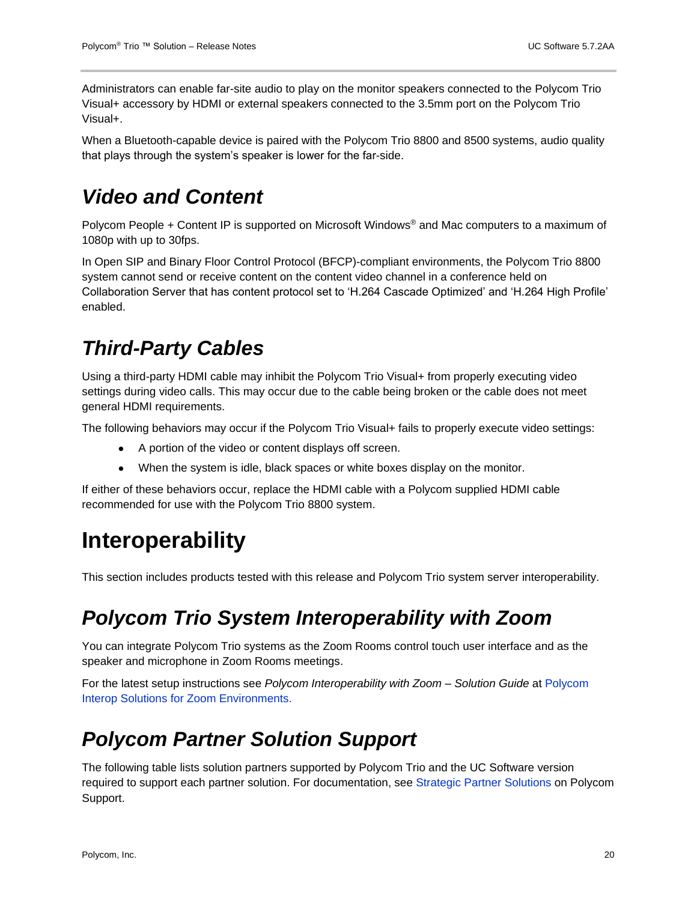Administrators can enable far-site audio to play on the monitor speakers connected to the Polycom Trio Visual+ accessory by HDMI or external speakers connected to the 3.5mm port on the Polycom Trio Visual+.

When a Bluetooth-capable device is paired with the Polycom Trio 8800 and 8500 systems, audio quality that plays through the system's speaker is lower for the far-side.

### <span id="page-19-0"></span>*Video and Content*

Polycom People + Content IP is supported on Microsoft Windows® and Mac computers to a maximum of 1080p with up to 30fps.

In Open SIP and Binary Floor Control Protocol (BFCP)-compliant environments, the Polycom Trio 8800 system cannot send or receive content on the content video channel in a conference held on Collaboration Server that has content protocol set to 'H.264 Cascade Optimized' and 'H.264 High Profile' enabled.

## <span id="page-19-1"></span>*Third-Party Cables*

Using a third-party HDMI cable may inhibit the Polycom Trio Visual+ from properly executing video settings during video calls. This may occur due to the cable being broken or the cable does not meet general HDMI requirements.

The following behaviors may occur if the Polycom Trio Visual+ fails to properly execute video settings:

- A portion of the video or content displays off screen.
- When the system is idle, black spaces or white boxes display on the monitor.

If either of these behaviors occur, replace the HDMI cable with a Polycom supplied HDMI cable recommended for use with the Polycom Trio 8800 system.

## <span id="page-19-2"></span>**Interoperability**

<span id="page-19-3"></span>This section includes products tested with this release and Polycom Trio system server interoperability.

### *Polycom Trio System Interoperability with Zoom*

You can integrate Polycom Trio systems as the Zoom Rooms control touch user interface and as the speaker and microphone in Zoom Rooms meetings.

For the latest setup instructions see *Polycom Interoperability with Zoom – Solution Guide* at [Polycom](https://support.polycom.com/content/support/north-america/usa/en/support/strategic-partner-solutions/zoom.html)  [Interop Solutions for Zoom Environments.](https://support.polycom.com/content/support/north-america/usa/en/support/strategic-partner-solutions/zoom.html)

### <span id="page-19-4"></span>*Polycom Partner Solution Support*

The following table lists solution partners supported by Polycom Trio and the UC Software version required to support each partner solution. For documentation, see [Strategic Partner Solutions](https://support.polycom.com/content/support/north-america/usa/en/support/strategic-partner-solutions.html) on Polycom Support.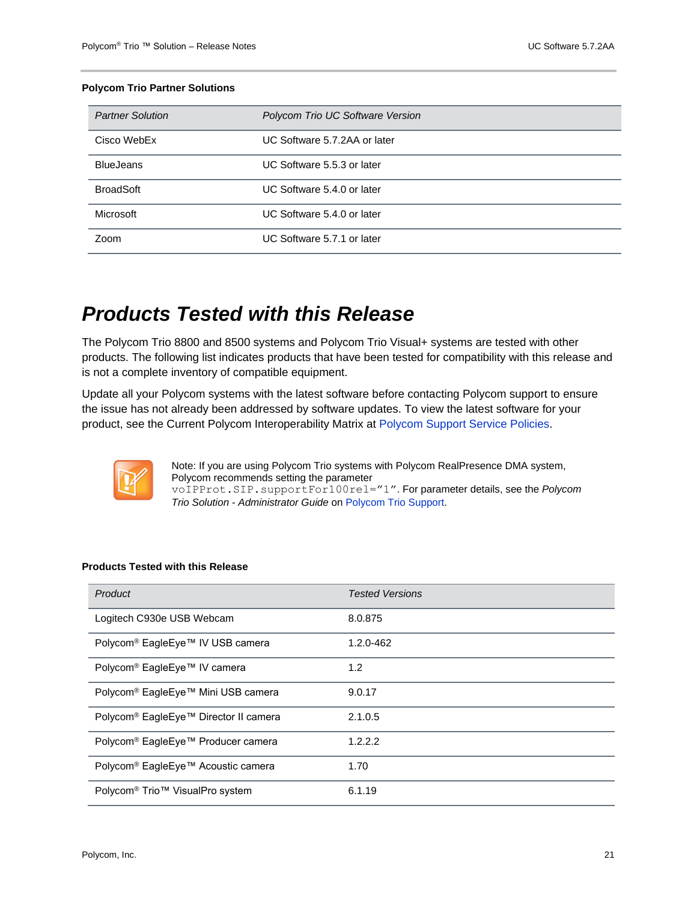#### **Polycom Trio Partner Solutions**

| <b>Partner Solution</b> | Polycom Trio UC Software Version |
|-------------------------|----------------------------------|
| Cisco WebEx             | UC Software 5.7.2AA or later     |
| <b>BlueJeans</b>        | UC Software 5.5.3 or later       |
| <b>BroadSoft</b>        | UC Software 5.4.0 or later       |
| Microsoft               | UC Software 5.4.0 or later       |
| <b>Zoom</b>             | UC Software 5.7.1 or later       |

### <span id="page-20-0"></span>*Products Tested with this Release*

The Polycom Trio 8800 and 8500 systems and Polycom Trio Visual+ systems are tested with other products. The following list indicates products that have been tested for compatibility with this release and is not a complete inventory of compatible equipment.

Update all your Polycom systems with the latest software before contacting Polycom support to ensure the issue has not already been addressed by software updates. To view the latest software for your product, see the Current Polycom Interoperability Matrix at [Polycom Support Service Policies.](http://support.polycom.com/PolycomService/support/us/support/service_policies.html)



Note: If you are using Polycom Trio systems with Polycom RealPresence DMA system, Polycom recommends setting the parameter voIPProt.SIP.supportFor100rel="1". For parameter details, see the *Polycom Trio Solution - Administrator Guide* on [Polycom Trio](https://support.polycom.com/content/support/North_America/USA/en/support/voice/polycom-trio.html) Support.

#### **Products Tested with this Release**

| Product                                                 | <b>Tested Versions</b> |
|---------------------------------------------------------|------------------------|
| Logitech C930e USB Webcam                               | 8.0.875                |
| Polycom <sup>®</sup> EagleEye™ IV USB camera            | 1.2.0-462              |
| Polycom <sup>®</sup> EagleEye™ IV camera                | 1.2                    |
| Polycom <sup>®</sup> EagleEye™ Mini USB camera          | 9.0.17                 |
| Polycom <sup>®</sup> EagleEye™ Director II camera       | 2.1.0.5                |
| Polycom <sup>®</sup> EagleEye™ Producer camera          | 1.2.2.2                |
| Polycom <sup>®</sup> EagleEye™ Acoustic camera          | 1.70                   |
| Polycom <sup>®</sup> Trio <sup>™</sup> VisualPro system | 6.1.19                 |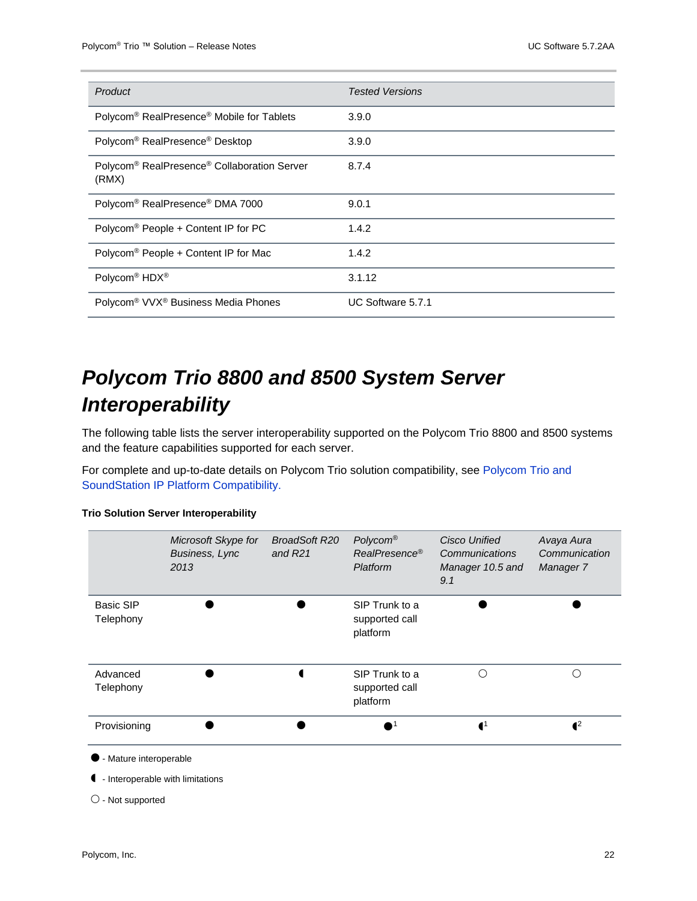| Product                                                                      | <b>Tested Versions</b> |
|------------------------------------------------------------------------------|------------------------|
| Polycom <sup>®</sup> RealPresence <sup>®</sup> Mobile for Tablets            | 3.9.0                  |
| Polycom <sup>®</sup> RealPresence <sup>®</sup> Desktop                       | 3.9.0                  |
| Polycom <sup>®</sup> RealPresence <sup>®</sup> Collaboration Server<br>(RMX) | 8.7.4                  |
| Polycom <sup>®</sup> RealPresence <sup>®</sup> DMA 7000                      | 9.0.1                  |
| Polycom <sup>®</sup> People + Content IP for PC                              | 1.4.2                  |
| Polycom <sup>®</sup> People + Content IP for Mac                             | 1.4.2                  |
| Polycom <sup>®</sup> HDX <sup>®</sup>                                        | 3.1.12                 |
| Polycom <sup>®</sup> VVX <sup>®</sup> Business Media Phones                  | UC Software 5.7.1      |

## <span id="page-21-0"></span>*Polycom Trio 8800 and 8500 System Server Interoperability*

The following table lists the server interoperability supported on the Polycom Trio 8800 and 8500 systems and the feature capabilities supported for each server.

For complete and up-to-date details on Polycom Trio solution compatibility, see [Polycom Trio and](http://www.polycom.com/products-services/voice/conferencing-solutions/conferencing-phones/soundstation-ip-platform-compatability.html)  [SoundStation IP Platform Compatibility.](http://www.polycom.com/products-services/voice/conferencing-solutions/conferencing-phones/soundstation-ip-platform-compatability.html)

#### **Trio Solution Server Interoperability**

|                               | Microsoft Skype for<br><b>Business, Lync</b><br>2013 | <b>BroadSoft R20</b><br>and $R21$ | Polycom®<br>RealPresence <sup>®</sup><br>Platform | <b>Cisco Unified</b><br>Communications<br>Manager 10.5 and<br>9.1 | Avaya Aura<br>Communication<br>Manager 7 |
|-------------------------------|------------------------------------------------------|-----------------------------------|---------------------------------------------------|-------------------------------------------------------------------|------------------------------------------|
| <b>Basic SIP</b><br>Telephony |                                                      |                                   | SIP Trunk to a<br>supported call<br>platform      |                                                                   |                                          |
| Advanced<br>Telephony         |                                                      |                                   | SIP Trunk to a<br>supported call<br>platform      | ∩                                                                 | ∩                                        |
| Provisioning                  |                                                      |                                   |                                                   | $\blacksquare$                                                    | $\mathbf{I}^2$                           |

- Mature interoperable

- Interoperable with limitations

 $\bigcirc$  - Not supported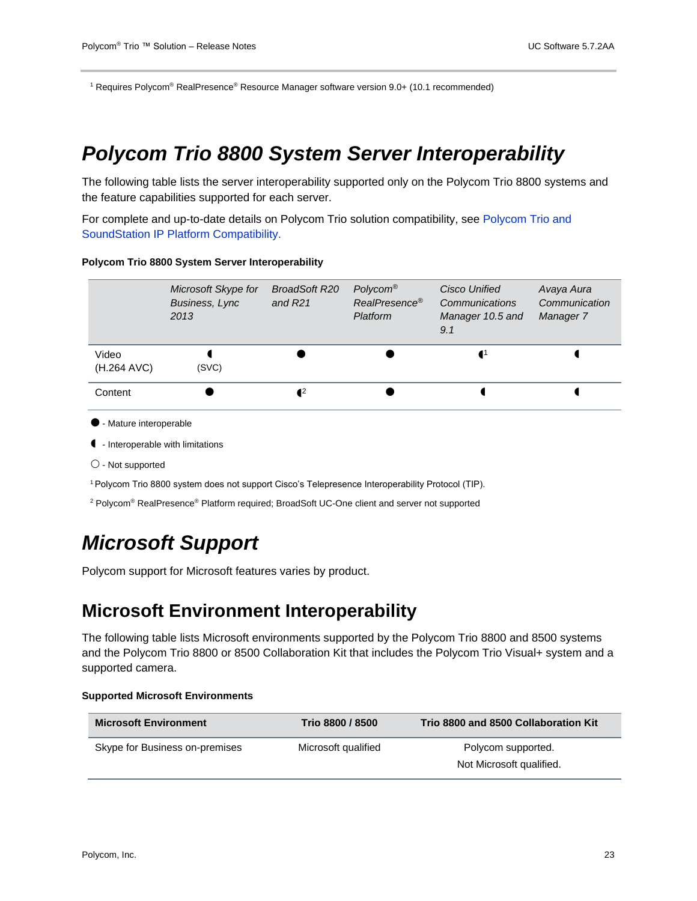<sup>1</sup> Requires Polycom® RealPresence® Resource Manager software version 9.0+ (10.1 recommended)

### <span id="page-22-0"></span>*Polycom Trio 8800 System Server Interoperability*

The following table lists the server interoperability supported only on the Polycom Trio 8800 systems and the feature capabilities supported for each server.

For complete and up-to-date details on Polycom Trio solution compatibility, see [Polycom Trio and](http://www.polycom.com/products-services/voice/conferencing-solutions/conferencing-phones/soundstation-ip-platform-compatability.html)  [SoundStation IP Platform Compatibility.](http://www.polycom.com/products-services/voice/conferencing-solutions/conferencing-phones/soundstation-ip-platform-compatability.html)

#### **Polycom Trio 8800 System Server Interoperability**

|                      | Microsoft Skype for<br><b>Business, Lync</b><br>2013 | BroadSoft R20<br>and $R21$ | Polycom <sup>®</sup><br>RealPresence®<br>Platform | Cisco Unified<br>Communications<br>Manager 10.5 and<br>9.1 | Avaya Aura<br>Communication<br>Manager 7 |
|----------------------|------------------------------------------------------|----------------------------|---------------------------------------------------|------------------------------------------------------------|------------------------------------------|
| Video<br>(H.264 AVC) | (SVC)                                                |                            |                                                   |                                                            |                                          |
| Content              |                                                      | $\mathbf{I}^2$             |                                                   |                                                            |                                          |

- Mature interoperable
- Interoperable with limitations
- $\bigcirc$  Not supported
- <sup>1</sup> Polycom Trio 8800 system does not support Cisco's Telepresence Interoperability Protocol (TIP).
- <span id="page-22-1"></span><sup>2</sup> Polycom® RealPresence® Platform required; BroadSoft UC-One client and server not supported

### *Microsoft Support*

Polycom support for Microsoft features varies by product.

#### **Microsoft Environment Interoperability**

The following table lists Microsoft environments supported by the Polycom Trio 8800 and 8500 systems and the Polycom Trio 8800 or 8500 Collaboration Kit that includes the Polycom Trio Visual+ system and a supported camera.

#### **Supported Microsoft Environments**

| <b>Microsoft Environment</b>   | Trio 8800 / 8500    | Trio 8800 and 8500 Collaboration Kit |  |
|--------------------------------|---------------------|--------------------------------------|--|
| Skype for Business on-premises | Microsoft qualified | Polycom supported.                   |  |
|                                |                     | Not Microsoft qualified.             |  |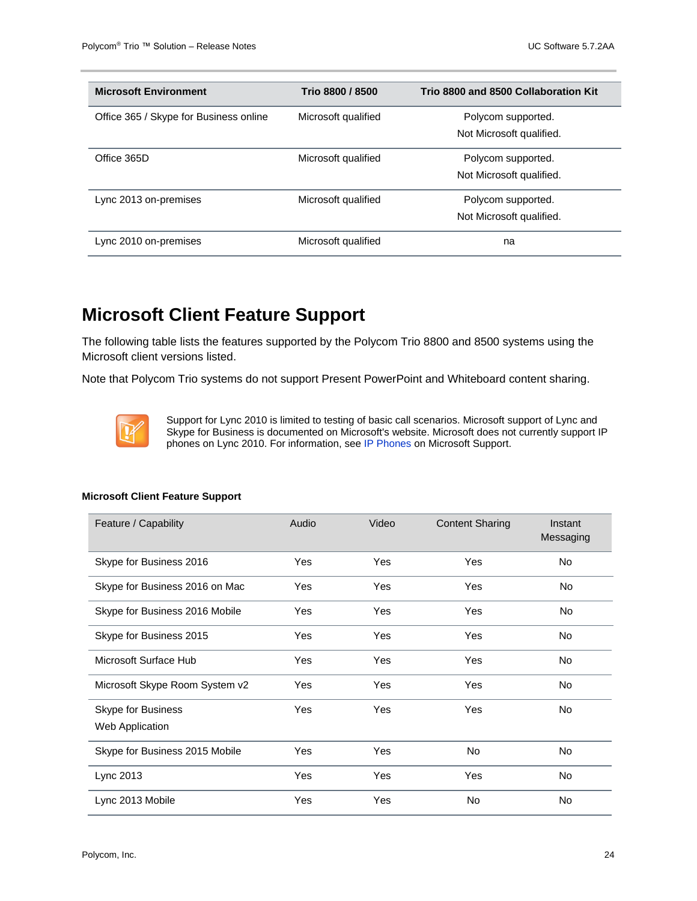| <b>Microsoft Environment</b>           | Trio 8800 / 8500    | Trio 8800 and 8500 Collaboration Kit |
|----------------------------------------|---------------------|--------------------------------------|
| Office 365 / Skype for Business online | Microsoft qualified | Polycom supported.                   |
|                                        |                     | Not Microsoft qualified.             |
| Office 365D                            | Microsoft qualified | Polycom supported.                   |
|                                        |                     | Not Microsoft qualified.             |
| Lync 2013 on-premises                  | Microsoft qualified | Polycom supported.                   |
|                                        |                     | Not Microsoft qualified.             |
| Lync 2010 on-premises                  | Microsoft qualified | na                                   |

### **Microsoft Client Feature Support**

The following table lists the features supported by the Polycom Trio 8800 and 8500 systems using the Microsoft client versions listed.

Note that Polycom Trio systems do not support Present PowerPoint and Whiteboard content sharing.



Support for Lync 2010 is limited to testing of basic call scenarios. Microsoft support of Lync and Skype for Business is documented on Microsoft's website. Microsoft does not currently support IP phones on Lync 2010. For information, see [IP Phones](https://partnersolutions.skypeforbusiness.com/solutionscatalog/ip-phones) on Microsoft Support.

| Feature / Capability                  | Audio | Video | <b>Content Sharing</b> | Instant<br>Messaging |
|---------------------------------------|-------|-------|------------------------|----------------------|
| Skype for Business 2016               | Yes   | Yes   | Yes                    | No                   |
| Skype for Business 2016 on Mac        | Yes   | Yes   | Yes                    | No                   |
| Skype for Business 2016 Mobile        | Yes   | Yes   | Yes                    | No                   |
| Skype for Business 2015               | Yes   | Yes   | Yes                    | No                   |
| Microsoft Surface Hub                 | Yes   | Yes   | Yes                    | No.                  |
| Microsoft Skype Room System v2        | Yes   | Yes   | Yes                    | <b>No</b>            |
| Skype for Business<br>Web Application | Yes   | Yes   | Yes                    | No                   |
| Skype for Business 2015 Mobile        | Yes   | Yes   | No                     | No                   |
| Lync 2013                             | Yes   | Yes   | Yes                    | <b>No</b>            |
| Lync 2013 Mobile                      | Yes   | Yes   | No                     | No                   |

#### **Microsoft Client Feature Support**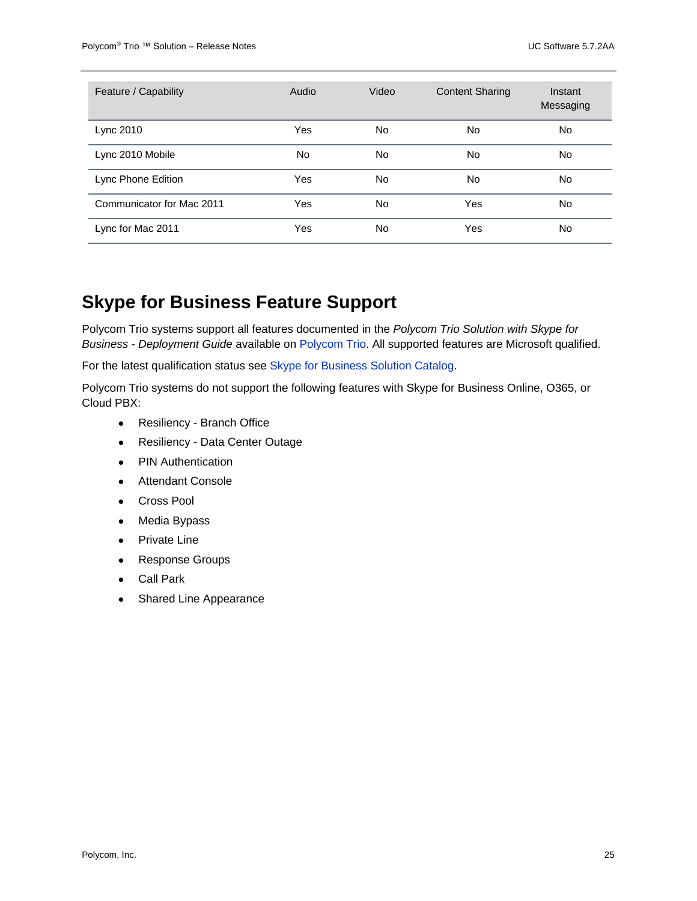| Feature / Capability      | Audio | Video     | <b>Content Sharing</b> | Instant<br>Messaging |
|---------------------------|-------|-----------|------------------------|----------------------|
| Lync 2010                 | Yes   | <b>No</b> | <b>No</b>              | No                   |
| Lync 2010 Mobile          | No.   | <b>No</b> | <b>No</b>              | No                   |
| Lync Phone Edition        | Yes   | <b>No</b> | <b>No</b>              | No                   |
| Communicator for Mac 2011 | Yes   | <b>No</b> | Yes                    | No                   |
| Lync for Mac 2011         | Yes   | <b>No</b> | Yes                    | No                   |

### **Skype for Business Feature Support**

Polycom Trio systems support all features documented in the *Polycom Trio Solution with Skype for Business - Deployment Guide* available on [Polycom Trio.](https://support.polycom.com/content/support/North_America/USA/en/support/voice/polycom-trio.html) All supported features are Microsoft qualified.

For the latest qualification status see [Skype for Business Solution Catalog.](http://partnersolutions.skypeforbusiness.com/solutionscatalog)

Polycom Trio systems do not support the following features with Skype for Business Online, O365, or Cloud PBX:

- Resiliency Branch Office
- Resiliency Data Center Outage
- **PIN Authentication**
- Attendant Console
- Cross Pool
- Media Bypass
- Private Line
- Response Groups
- **Call Park**
- **Shared Line Appearance**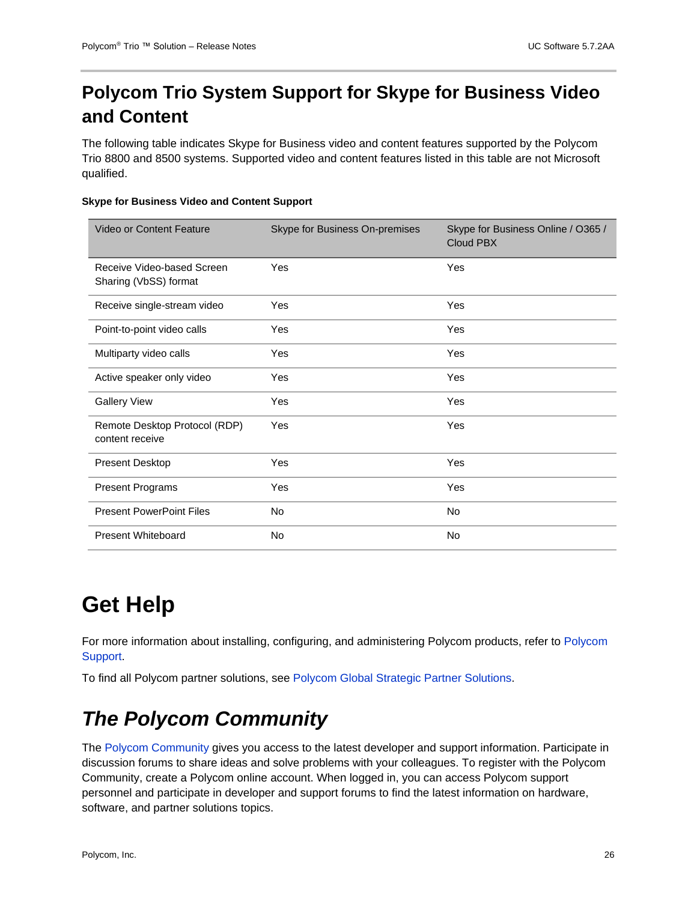### **Polycom Trio System Support for Skype for Business Video and Content**

The following table indicates Skype for Business video and content features supported by the Polycom Trio 8800 and 8500 systems. Supported video and content features listed in this table are not Microsoft qualified.

#### **Skype for Business Video and Content Support**

| Video or Content Feature                            | Skype for Business On-premises | Skype for Business Online / O365 /<br><b>Cloud PBX</b> |
|-----------------------------------------------------|--------------------------------|--------------------------------------------------------|
| Receive Video-based Screen<br>Sharing (VbSS) format | Yes                            | Yes                                                    |
| Receive single-stream video                         | Yes                            | Yes                                                    |
| Point-to-point video calls                          | Yes                            | Yes                                                    |
| Multiparty video calls                              | Yes                            | Yes                                                    |
| Active speaker only video                           | Yes                            | Yes                                                    |
| <b>Gallery View</b>                                 | Yes                            | Yes                                                    |
| Remote Desktop Protocol (RDP)<br>content receive    | Yes                            | Yes                                                    |
| Present Desktop                                     | Yes                            | Yes                                                    |
| <b>Present Programs</b>                             | Yes                            | Yes                                                    |
| <b>Present PowerPoint Files</b>                     | <b>No</b>                      | No.                                                    |
| <b>Present Whiteboard</b>                           | No.                            | No                                                     |

# <span id="page-25-0"></span>**Get Help**

For more information about installing, configuring, and administering Polycom products, refer to [Polycom](http://support.polycom.com/content/support/North_America/USA/en/support/voice/polycom_uc.html)  [Support.](http://support.polycom.com/content/support/North_America/USA/en/support/voice/polycom_uc.html)

<span id="page-25-1"></span>To find all Polycom partner solutions, see [Polycom Global Strategic Partner Solutions.](http://support.polycom.com/content/support/North_America/USA/en/support/strategic_partner_solutions.html)

## *The Polycom Community*

The [Polycom Community](http://community.polycom.com/) gives you access to the latest developer and support information. Participate in discussion forums to share ideas and solve problems with your colleagues. To register with the Polycom Community, create a Polycom online account. When logged in, you can access Polycom support personnel and participate in developer and support forums to find the latest information on hardware, software, and partner solutions topics.